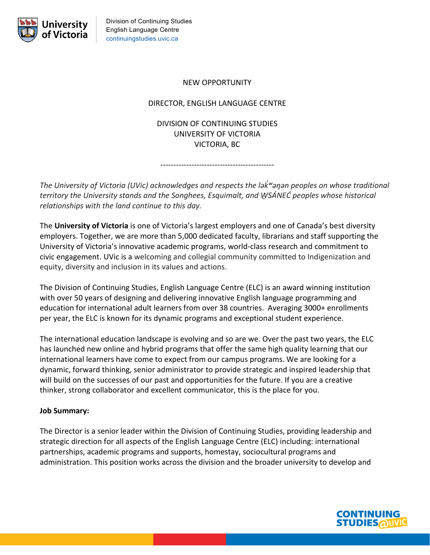

# NEW OPPORTUNITY

### DIRECTOR, ENGLISH LANGUAGE CENTRE

DIVISION OF CONTINUING STUDIES UNIVERSITY OF VICTORIA VICTORIA, BC

--------------------------------------------

*The University of Victoria (UVic) acknowledges and respects the ləkʷəŋən � peoples on whose traditional territory the University stands and the Songhees, Esquimalt, and W̱SÁNEĆ peoples whose historical relationships with the land continue to this day.*

The **University of Victoria** is one of Victoria's largest employers and one of Canada's best diversity employers. Together, we are more than 5,000 dedicated faculty, librarians and staff supporting the University of Victoria's innovative academic programs, world-class research and commitment to civic engagement. UVic is a welcoming and collegial community committed to Indigenization and equity, diversity and inclusion in its values and actions.

The Division of Continuing Studies, English Language Centre (ELC) is an award winning institution with over 50 years of designing and delivering innovative English language programming and education for international adult learners from over 38 countries. Averaging 3000+ enrollments per year, the ELC is known for its dynamic programs and exceptional student experience.

The international education landscape is evolving and so are we. Over the past two years, the ELC has launched new online and hybrid programs that offer the same high quality learning that our international learners have come to expect from our campus programs. We are looking for a dynamic, forward thinking, senior administrator to provide strategic and inspired leadership that will build on the successes of our past and opportunities for the future. If you are a creative thinker, strong collaborator and excellent communicator, this is the place for you.

#### **Job Summary:**

The Director is a senior leader within the Division of Continuing Studies, providing leadership and strategic direction for all aspects of the English Language Centre (ELC) including: international partnerships, academic programs and supports, homestay, sociocultural programs and administration. This position works across the division and the broader university to develop and